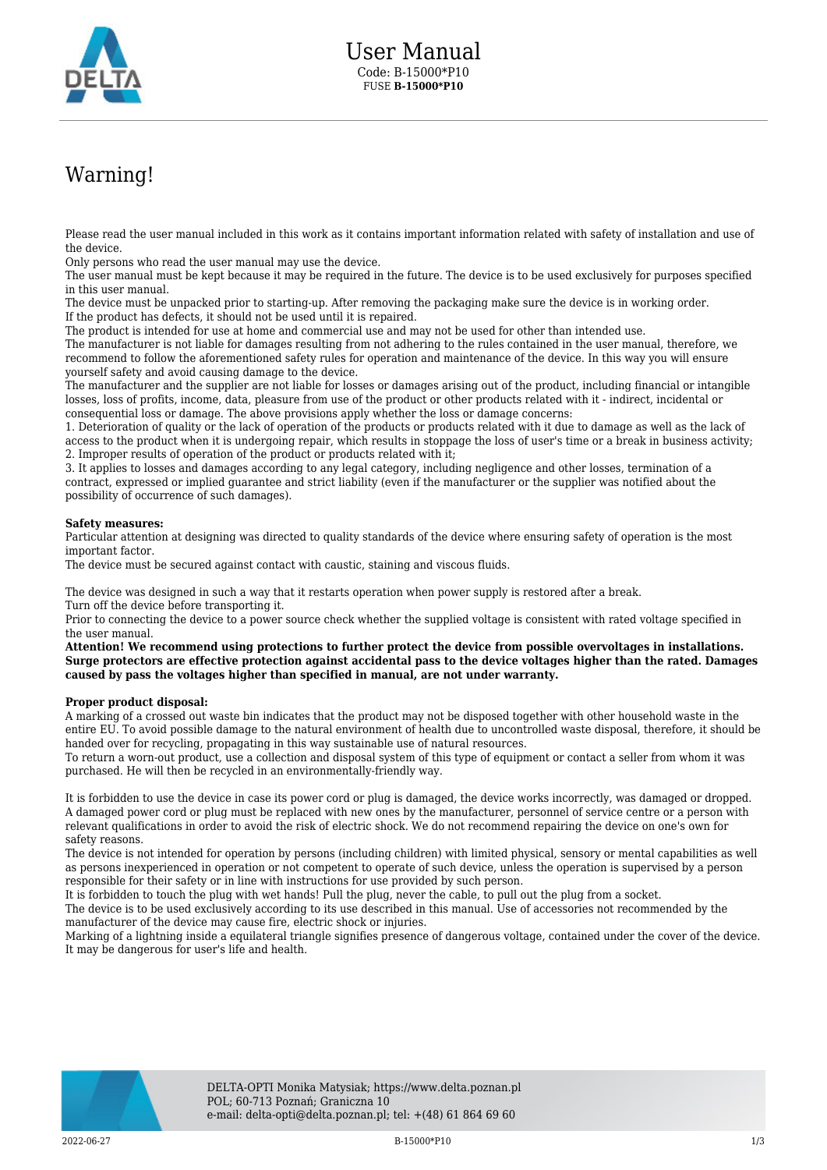

## Warning!

Please read the user manual included in this work as it contains important information related with safety of installation and use of the device.

Only persons who read the user manual may use the device.

The user manual must be kept because it may be required in the future. The device is to be used exclusively for purposes specified in this user manual.

The device must be unpacked prior to starting-up. After removing the packaging make sure the device is in working order. If the product has defects, it should not be used until it is repaired.

The product is intended for use at home and commercial use and may not be used for other than intended use.

The manufacturer is not liable for damages resulting from not adhering to the rules contained in the user manual, therefore, we recommend to follow the aforementioned safety rules for operation and maintenance of the device. In this way you will ensure yourself safety and avoid causing damage to the device.

The manufacturer and the supplier are not liable for losses or damages arising out of the product, including financial or intangible losses, loss of profits, income, data, pleasure from use of the product or other products related with it - indirect, incidental or consequential loss or damage. The above provisions apply whether the loss or damage concerns:

1. Deterioration of quality or the lack of operation of the products or products related with it due to damage as well as the lack of access to the product when it is undergoing repair, which results in stoppage the loss of user's time or a break in business activity; 2. Improper results of operation of the product or products related with it;

3. It applies to losses and damages according to any legal category, including negligence and other losses, termination of a contract, expressed or implied guarantee and strict liability (even if the manufacturer or the supplier was notified about the possibility of occurrence of such damages).

## **Safety measures:**

Particular attention at designing was directed to quality standards of the device where ensuring safety of operation is the most important factor.

The device must be secured against contact with caustic, staining and viscous fluids.

The device was designed in such a way that it restarts operation when power supply is restored after a break. Turn off the device before transporting it.

Prior to connecting the device to a power source check whether the supplied voltage is consistent with rated voltage specified in the user manual.

**Attention! We recommend using protections to further protect the device from possible overvoltages in installations. Surge protectors are effective protection against accidental pass to the device voltages higher than the rated. Damages caused by pass the voltages higher than specified in manual, are not under warranty.**

## **Proper product disposal:**

A marking of a crossed out waste bin indicates that the product may not be disposed together with other household waste in the entire EU. To avoid possible damage to the natural environment of health due to uncontrolled waste disposal, therefore, it should be handed over for recycling, propagating in this way sustainable use of natural resources.

To return a worn-out product, use a collection and disposal system of this type of equipment or contact a seller from whom it was purchased. He will then be recycled in an environmentally-friendly way.

It is forbidden to use the device in case its power cord or plug is damaged, the device works incorrectly, was damaged or dropped. A damaged power cord or plug must be replaced with new ones by the manufacturer, personnel of service centre or a person with relevant qualifications in order to avoid the risk of electric shock. We do not recommend repairing the device on one's own for safety reasons.

The device is not intended for operation by persons (including children) with limited physical, sensory or mental capabilities as well as persons inexperienced in operation or not competent to operate of such device, unless the operation is supervised by a person responsible for their safety or in line with instructions for use provided by such person.

It is forbidden to touch the plug with wet hands! Pull the plug, never the cable, to pull out the plug from a socket.

The device is to be used exclusively according to its use described in this manual. Use of accessories not recommended by the manufacturer of the device may cause fire, electric shock or injuries.

Marking of a lightning inside a equilateral triangle signifies presence of dangerous voltage, contained under the cover of the device. It may be dangerous for user's life and health.

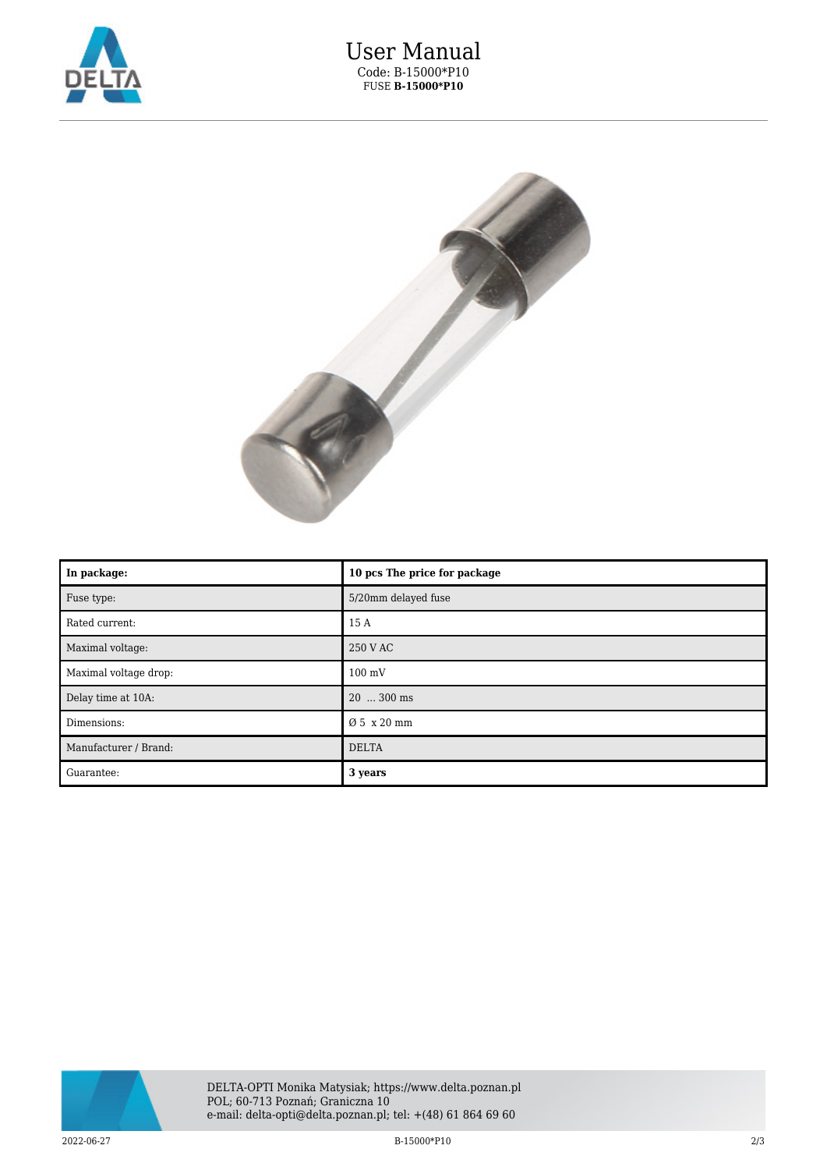



| In package:           | 10 pcs The price for package |
|-----------------------|------------------------------|
| Fuse type:            | 5/20mm delayed fuse          |
| Rated current:        | 15 A                         |
| Maximal voltage:      | 250 V AC                     |
| Maximal voltage drop: | $100 \text{ mV}$             |
| Delay time at 10A:    | 20  300 ms                   |
| Dimensions:           | Ø 5 x 20 mm                  |
| Manufacturer / Brand: | <b>DELTA</b>                 |
| Guarantee:            | 3 years                      |



 $2022-06-27$  2022-06-27 213